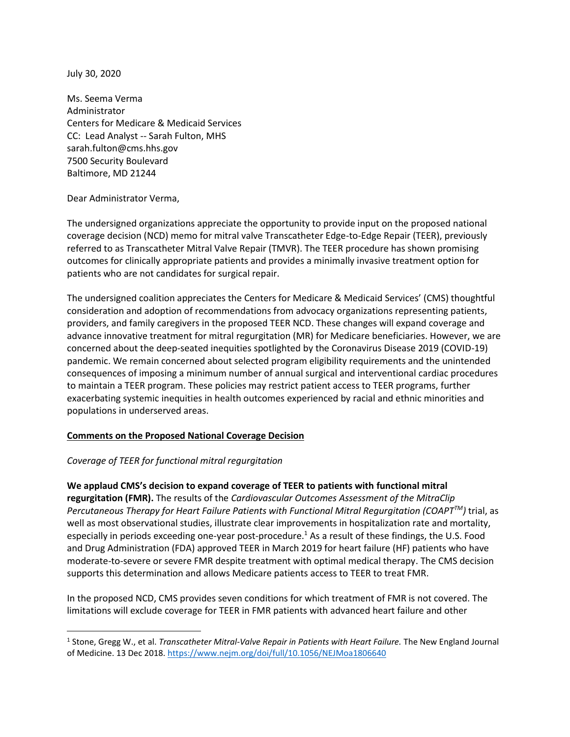July 30, 2020

Ms. Seema Verma Administrator Centers for Medicare & Medicaid Services CC: Lead Analyst -- Sarah Fulton, MHS sarah.fulton@cms.hhs.gov 7500 Security Boulevard Baltimore, MD 21244

Dear Administrator Verma,

The undersigned organizations appreciate the opportunity to provide input on the proposed national coverage decision (NCD) memo for mitral valve Transcatheter Edge-to-Edge Repair (TEER), previously referred to as Transcatheter Mitral Valve Repair (TMVR). The TEER procedure has shown promising outcomes for clinically appropriate patients and provides a minimally invasive treatment option for patients who are not candidates for surgical repair.

The undersigned coalition appreciates the Centers for Medicare & Medicaid Services' (CMS) thoughtful consideration and adoption of recommendations from advocacy organizations representing patients, providers, and family caregivers in the proposed TEER NCD. These changes will expand coverage and advance innovative treatment for mitral regurgitation (MR) for Medicare beneficiaries. However, we are concerned about the deep-seated inequities spotlighted by the Coronavirus Disease 2019 (COVID-19) pandemic. We remain concerned about selected program eligibility requirements and the unintended consequences of imposing a minimum number of annual surgical and interventional cardiac procedures to maintain a TEER program. These policies may restrict patient access to TEER programs, further exacerbating systemic inequities in health outcomes experienced by racial and ethnic minorities and populations in underserved areas.

# **Comments on the Proposed National Coverage Decision**

# *Coverage of TEER for functional mitral regurgitation*

**We applaud CMS's decision to expand coverage of TEER to patients with functional mitral regurgitation (FMR).** The results of the *Cardiovascular Outcomes Assessment of the MitraClip Percutaneous Therapy for Heart Failure Patients with Functional Mitral Regurgitation (COAPTTM)* trial, as well as most observational studies, illustrate clear improvements in hospitalization rate and mortality, especially in periods exceeding one-year post-procedure.<sup>1</sup> As a result of these findings, the U.S. Food and Drug Administration (FDA) approved TEER in March 2019 for heart failure (HF) patients who have moderate-to-severe or severe FMR despite treatment with optimal medical therapy. The CMS decision supports this determination and allows Medicare patients access to TEER to treat FMR.

In the proposed NCD, CMS provides seven conditions for which treatment of FMR is not covered. The limitations will exclude coverage for TEER in FMR patients with advanced heart failure and other

<sup>1</sup> Stone, Gregg W., et al. *Transcatheter Mitral-Valve Repair in Patients with Heart Failure.* The New England Journal of Medicine. 13 Dec 2018.<https://www.nejm.org/doi/full/10.1056/NEJMoa1806640>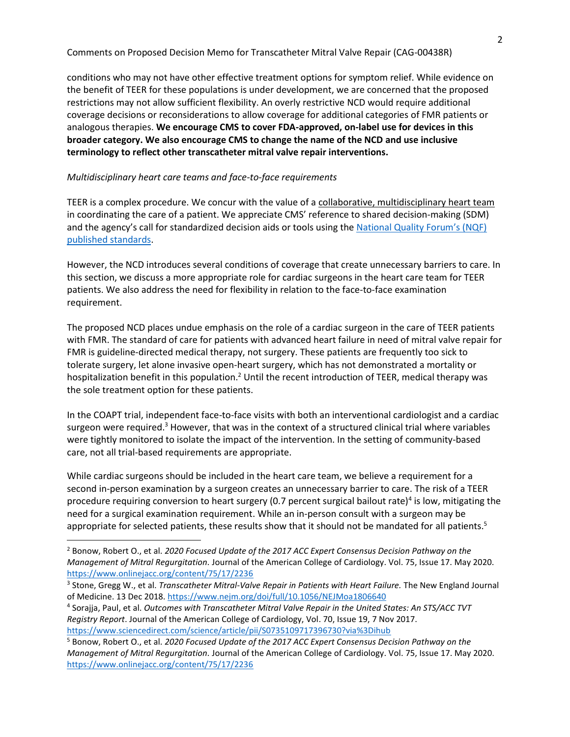Comments on Proposed Decision Memo for Transcatheter Mitral Valve Repair (CAG-00438R)

conditions who may not have other effective treatment options for symptom relief. While evidence on the benefit of TEER for these populations is under development, we are concerned that the proposed restrictions may not allow sufficient flexibility. An overly restrictive NCD would require additional coverage decisions or reconsiderations to allow coverage for additional categories of FMR patients or analogous therapies. **We encourage CMS to cover FDA-approved, on-label use for devices in this broader category. We also encourage CMS to change the name of the NCD and use inclusive terminology to reflect other transcatheter mitral valve repair interventions.**

#### *Multidisciplinary heart care teams and face-to-face requirements*

TEER is a complex procedure. We concur with the value of a collaborative, multidisciplinary heart team in coordinating the care of a patient. We appreciate CMS' reference to shared decision-making (SDM) and the agency's call for standardized decision aids or tools using the [National Quality Forum's \(NQF\)](http://www.qualityforum.org/Projects/c-d/Decision_Aids/Final_Report.aspx)  [published standards.](http://www.qualityforum.org/Projects/c-d/Decision_Aids/Final_Report.aspx)

However, the NCD introduces several conditions of coverage that create unnecessary barriers to care. In this section, we discuss a more appropriate role for cardiac surgeons in the heart care team for TEER patients. We also address the need for flexibility in relation to the face-to-face examination requirement.

The proposed NCD places undue emphasis on the role of a cardiac surgeon in the care of TEER patients with FMR. The standard of care for patients with advanced heart failure in need of mitral valve repair for FMR is guideline-directed medical therapy, not surgery. These patients are frequently too sick to tolerate surgery, let alone invasive open-heart surgery, which has not demonstrated a mortality or hospitalization benefit in this population.<sup>2</sup> Until the recent introduction of TEER, medical therapy was the sole treatment option for these patients.

In the COAPT trial, independent face-to-face visits with both an interventional cardiologist and a cardiac surgeon were required.<sup>3</sup> However, that was in the context of a structured clinical trial where variables were tightly monitored to isolate the impact of the intervention. In the setting of community-based care, not all trial-based requirements are appropriate.

While cardiac surgeons should be included in the heart care team, we believe a requirement for a second in-person examination by a surgeon creates an unnecessary barrier to care. The risk of a TEER procedure requiring conversion to heart surgery (0.7 percent surgical bailout rate)<sup>4</sup> is low, mitigating the need for a surgical examination requirement. While an in-person consult with a surgeon may be appropriate for selected patients, these results show that it should not be mandated for all patients.<sup>5</sup>

<sup>2</sup> Bonow, Robert O., et al. *2020 Focused Update of the 2017 ACC Expert Consensus Decision Pathway on the Management of Mitral Regurgitation.* Journal of the American College of Cardiology. Vol. 75, Issue 17. May 2020. <https://www.onlinejacc.org/content/75/17/2236>

<sup>3</sup> Stone, Gregg W., et al. *Transcatheter Mitral-Valve Repair in Patients with Heart Failure.* The New England Journal of Medicine. 13 Dec 2018.<https://www.nejm.org/doi/full/10.1056/NEJMoa1806640>

<sup>4</sup> Sorajja, Paul, et al. *Outcomes with Transcatheter Mitral Valve Repair in the United States: An STS/ACC TVT Registry Report*. Journal of the American College of Cardiology, Vol. 70, Issue 19, 7 Nov 2017. <https://www.sciencedirect.com/science/article/pii/S0735109717396730?via%3Dihub>

<sup>5</sup> Bonow, Robert O., et al. *2020 Focused Update of the 2017 ACC Expert Consensus Decision Pathway on the Management of Mitral Regurgitation.* Journal of the American College of Cardiology. Vol. 75, Issue 17. May 2020. <https://www.onlinejacc.org/content/75/17/2236>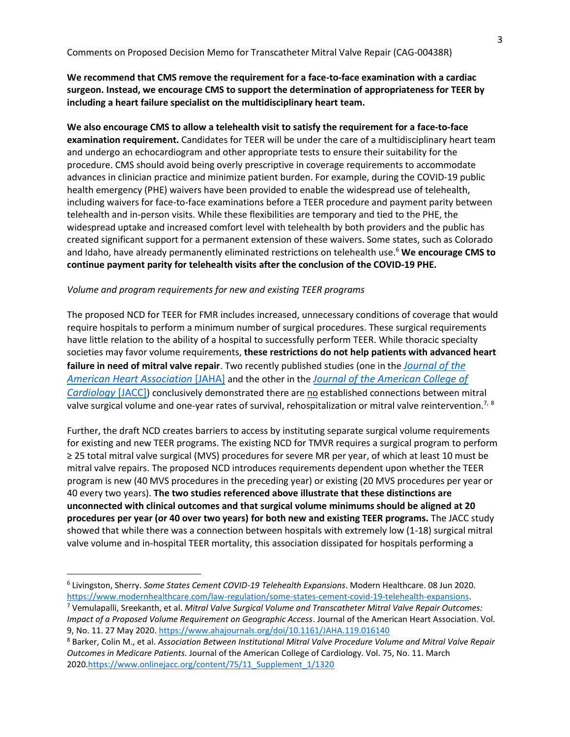# **We recommend that CMS remove the requirement for a face-to-face examination with a cardiac surgeon. Instead, we encourage CMS to support the determination of appropriateness for TEER by including a heart failure specialist on the multidisciplinary heart team.**

**We also encourage CMS to allow a telehealth visit to satisfy the requirement for a face-to-face examination requirement.** Candidates for TEER will be under the care of a multidisciplinary heart team and undergo an echocardiogram and other appropriate tests to ensure their suitability for the procedure. CMS should avoid being overly prescriptive in coverage requirements to accommodate advances in clinician practice and minimize patient burden. For example, during the COVID-19 public health emergency (PHE) waivers have been provided to enable the widespread use of telehealth, including waivers for face-to-face examinations before a TEER procedure and payment parity between telehealth and in-person visits. While these flexibilities are temporary and tied to the PHE, the widespread uptake and increased comfort level with telehealth by both providers and the public has created significant support for a permanent extension of these waivers. Some states, such as Colorado and Idaho, have already permanently eliminated restrictions on telehealth use.<sup>6</sup> **We encourage CMS to continue payment parity for telehealth visits after the conclusion of the COVID-19 PHE.**

#### *Volume and program requirements for new and existing TEER programs*

The proposed NCD for TEER for FMR includes increased, unnecessary conditions of coverage that would require hospitals to perform a minimum number of surgical procedures. These surgical requirements have little relation to the ability of a hospital to successfully perform TEER. While thoracic specialty societies may favor volume requirements, **these restrictions do not help patients with advanced heart failure in need of mitral valve repair**. Two recently published studies (one in the *[Journal of the](https://www.ahajournals.org/doi/10.1161/JAHA.119.016140)  [American Heart Association](https://www.ahajournals.org/doi/10.1161/JAHA.119.016140)* [JAHA] and the other in the *[Journal of the American College of](https://www.onlinejacc.org/content/75/11_Supplement_1/1320)  [Cardiology](https://www.onlinejacc.org/content/75/11_Supplement_1/1320)* [JACC]) conclusively demonstrated there are no established connections between mitral valve surgical volume and one-year rates of survival, rehospitalization or mitral valve reintervention.<sup>7, 8</sup>

Further, the draft NCD creates barriers to access by instituting separate surgical volume requirements for existing and new TEER programs. The existing NCD for TMVR requires a surgical program to perform ≥ 25 total mitral valve surgical (MVS) procedures for severe MR per year, of which at least 10 must be mitral valve repairs. The proposed NCD introduces requirements dependent upon whether the TEER program is new (40 MVS procedures in the preceding year) or existing (20 MVS procedures per year or 40 every two years). **The two studies referenced above illustrate that these distinctions are unconnected with clinical outcomes and that surgical volume minimums should be aligned at 20 procedures per year (or 40 over two years) for both new and existing TEER programs.** The JACC study showed that while there was a connection between hospitals with extremely low (1-18) surgical mitral valve volume and in-hospital TEER mortality, this association dissipated for hospitals performing a

<sup>6</sup> Livingston, Sherry. *Some States Cement COVID-19 Telehealth Expansions*. Modern Healthcare. 08 Jun 2020. [https://www.modernhealthcare.com/law-regulation/some-states-cement-covid-19-telehealth-expansions.](https://www.modernhealthcare.com/law-regulation/some-states-cement-covid-19-telehealth-expansions)

<sup>7</sup> Vemulapalli, Sreekanth, et al. *Mitral Valve Surgical Volume and Transcatheter Mitral Valve Repair Outcomes: Impact of a Proposed Volume Requirement on Geographic Access*. Journal of the American Heart Association. Vol. 9, No. 11. 27 May 2020.<https://www.ahajournals.org/doi/10.1161/JAHA.119.016140>

<sup>8</sup> Barker, Colin M., et al. *Association Between Institutional Mitral Valve Procedure Volume and Mitral Valve Repair Outcomes in Medicare Patients*. Journal of the American College of Cardiology. Vol. 75, No. 11. March 2020[.https://www.onlinejacc.org/content/75/11\\_Supplement\\_1/1320](https://www.onlinejacc.org/content/75/11_Supplement_1/1320)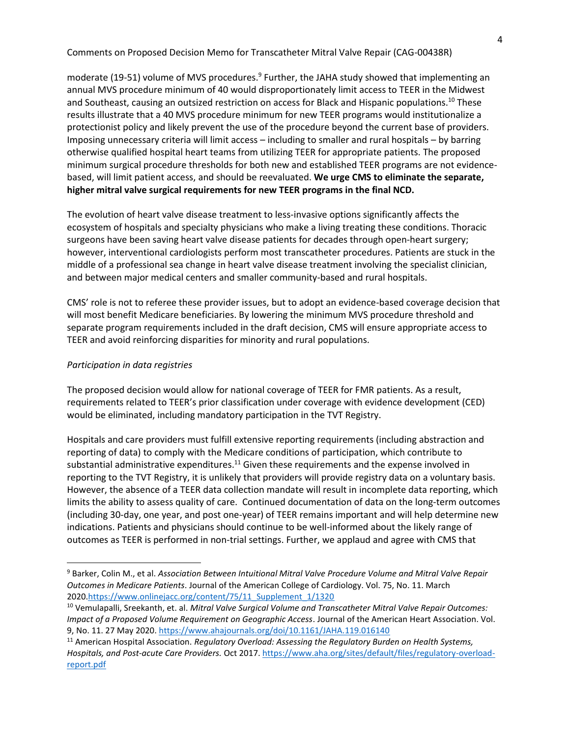Comments on Proposed Decision Memo for Transcatheter Mitral Valve Repair (CAG-00438R)

moderate (19-51) volume of MVS procedures.<sup>9</sup> Further, the JAHA study showed that implementing an annual MVS procedure minimum of 40 would disproportionately limit access to TEER in the Midwest and Southeast, causing an outsized restriction on access for Black and Hispanic populations.<sup>10</sup> These results illustrate that a 40 MVS procedure minimum for new TEER programs would institutionalize a protectionist policy and likely prevent the use of the procedure beyond the current base of providers. Imposing unnecessary criteria will limit access – including to smaller and rural hospitals – by barring otherwise qualified hospital heart teams from utilizing TEER for appropriate patients. The proposed minimum surgical procedure thresholds for both new and established TEER programs are not evidencebased, will limit patient access, and should be reevaluated. **We urge CMS to eliminate the separate, higher mitral valve surgical requirements for new TEER programs in the final NCD.** 

The evolution of heart valve disease treatment to less-invasive options significantly affects the ecosystem of hospitals and specialty physicians who make a living treating these conditions. Thoracic surgeons have been saving heart valve disease patients for decades through open-heart surgery; however, interventional cardiologists perform most transcatheter procedures. Patients are stuck in the middle of a professional sea change in heart valve disease treatment involving the specialist clinician, and between major medical centers and smaller community-based and rural hospitals.

CMS' role is not to referee these provider issues, but to adopt an evidence-based coverage decision that will most benefit Medicare beneficiaries. By lowering the minimum MVS procedure threshold and separate program requirements included in the draft decision, CMS will ensure appropriate access to TEER and avoid reinforcing disparities for minority and rural populations.

### *Participation in data registries*

The proposed decision would allow for national coverage of TEER for FMR patients. As a result, requirements related to TEER's prior classification under coverage with evidence development (CED) would be eliminated, including mandatory participation in the TVT Registry.

Hospitals and care providers must fulfill extensive reporting requirements (including abstraction and reporting of data) to comply with the Medicare conditions of participation, which contribute to substantial administrative expenditures.<sup>11</sup> Given these requirements and the expense involved in reporting to the TVT Registry, it is unlikely that providers will provide registry data on a voluntary basis. However, the absence of a TEER data collection mandate will result in incomplete data reporting, which limits the ability to assess quality of care. Continued documentation of data on the long-term outcomes (including 30-day, one year, and post one-year) of TEER remains important and will help determine new indications. Patients and physicians should continue to be well-informed about the likely range of outcomes as TEER is performed in non-trial settings. Further, we applaud and agree with CMS that

<sup>9</sup> Barker, Colin M., et al. *Association Between Intuitional Mitral Valve Procedure Volume and Mitral Valve Repair Outcomes in Medicare Patients*. Journal of the American College of Cardiology. Vol. 75, No. 11. March 2020[.https://www.onlinejacc.org/content/75/11\\_Supplement\\_1/1320](https://www.onlinejacc.org/content/75/11_Supplement_1/1320)

<sup>10</sup> Vemulapalli, Sreekanth, et. al. *Mitral Valve Surgical Volume and Transcatheter Mitral Valve Repair Outcomes: Impact of a Proposed Volume Requirement on Geographic Access*. Journal of the American Heart Association. Vol. 9, No. 11. 27 May 2020.<https://www.ahajournals.org/doi/10.1161/JAHA.119.016140>

<sup>11</sup> American Hospital Association. *Regulatory Overload: Assessing the Regulatory Burden on Health Systems, Hospitals, and Post-acute Care Providers.* Oct 2017. [https://www.aha.org/sites/default/files/regulatory-overload](https://www.aha.org/sites/default/files/regulatory-overload-report.pdf)[report.pdf](https://www.aha.org/sites/default/files/regulatory-overload-report.pdf)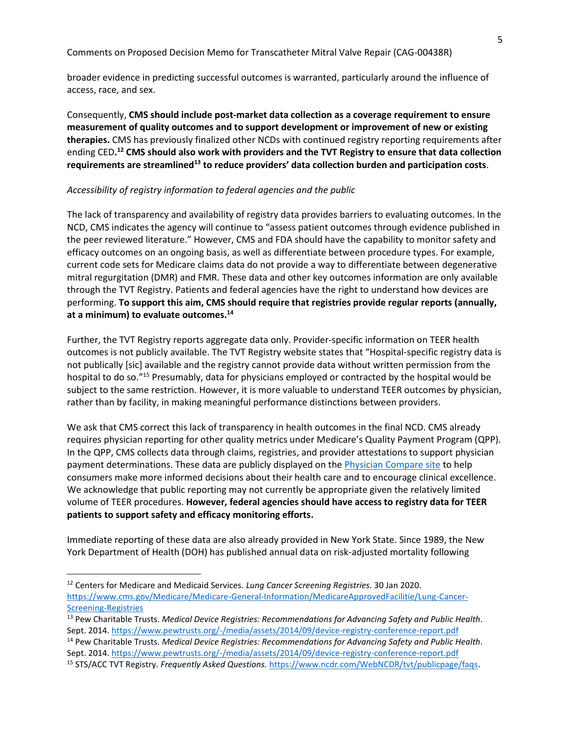Comments on Proposed Decision Memo for Transcatheter Mitral Valve Repair (CAG-00438R)

broader evidence in predicting successful outcomes is warranted, particularly around the influence of access, race, and sex.

Consequently, **CMS should include post-market data collection as a coverage requirement to ensure measurement of quality outcomes and to support development or improvement of new or existing therapies.** CMS has previously finalized other NCDs with continued registry reporting requirements after ending CED**. <sup>12</sup> CMS should also work with providers and the TVT Registry to ensure that data collection requirements are streamlined<sup>13</sup> to reduce providers' data collection burden and participation costs**.

### *Accessibility of registry information to federal agencies and the public*

The lack of transparency and availability of registry data provides barriers to evaluating outcomes. In the NCD, CMS indicates the agency will continue to "assess patient outcomes through evidence published in the peer reviewed literature." However, CMS and FDA should have the capability to monitor safety and efficacy outcomes on an ongoing basis, as well as differentiate between procedure types. For example, current code sets for Medicare claims data do not provide a way to differentiate between degenerative mitral regurgitation (DMR) and FMR. These data and other key outcomes information are only available through the TVT Registry. Patients and federal agencies have the right to understand how devices are performing. **To support this aim, CMS should require that registries provide regular reports (annually, at a minimum) to evaluate outcomes.<sup>14</sup>**

Further, the TVT Registry reports aggregate data only. Provider-specific information on TEER health outcomes is not publicly available. The TVT Registry website states that "Hospital-specific registry data is not publically [sic] available and the registry cannot provide data without written permission from the hospital to do so.<sup>"15</sup> Presumably, data for physicians employed or contracted by the hospital would be subject to the same restriction. However, it is more valuable to understand TEER outcomes by physician, rather than by facility, in making meaningful performance distinctions between providers.

We ask that CMS correct this lack of transparency in health outcomes in the final NCD. CMS already requires physician reporting for other quality metrics under Medicare's Quality Payment Program (QPP). In the QPP, CMS collects data through claims, registries, and provider attestations to support physician payment determinations. These data are publicly displayed on the *Physician Compare site* to help consumers make more informed decisions about their health care and to encourage clinical excellence. We acknowledge that public reporting may not currently be appropriate given the relatively limited volume of TEER procedures. **However, federal agencies should have access to registry data for TEER patients to support safety and efficacy monitoring efforts.** 

Immediate reporting of these data are also already provided in New York State. Since 1989, the New York Department of Health (DOH) has published annual data on risk-adjusted mortality following

<sup>12</sup> Centers for Medicare and Medicaid Services. *Lung Cancer Screening Registries.* 30 Jan 2020. [https://www.cms.gov/Medicare/Medicare-General-Information/MedicareApprovedFacilitie/Lung-Cancer-](https://www.cms.gov/Medicare/Medicare-General-Information/MedicareApprovedFacilitie/Lung-Cancer-Screening-Registries)[Screening-Registries](https://www.cms.gov/Medicare/Medicare-General-Information/MedicareApprovedFacilitie/Lung-Cancer-Screening-Registries)

<sup>13</sup> Pew Charitable Trusts. *Medical Device Registries: Recommendations for Advancing Safety and Public Health.* Sept. 2014.<https://www.pewtrusts.org/-/media/assets/2014/09/device-registry-conference-report.pdf>

<sup>14</sup> Pew Charitable Trusts. *Medical Device Registries: Recommendations for Advancing Safety and Public Health.* Sept. 2014.<https://www.pewtrusts.org/-/media/assets/2014/09/device-registry-conference-report.pdf>

<sup>15</sup> STS/ACC TVT Registry. *Frequently Asked Questions.* [https://www.ncdr.com/WebNCDR/tvt/publicpage/faqs.](https://www.ncdr.com/WebNCDR/tvt/publicpage/faqs)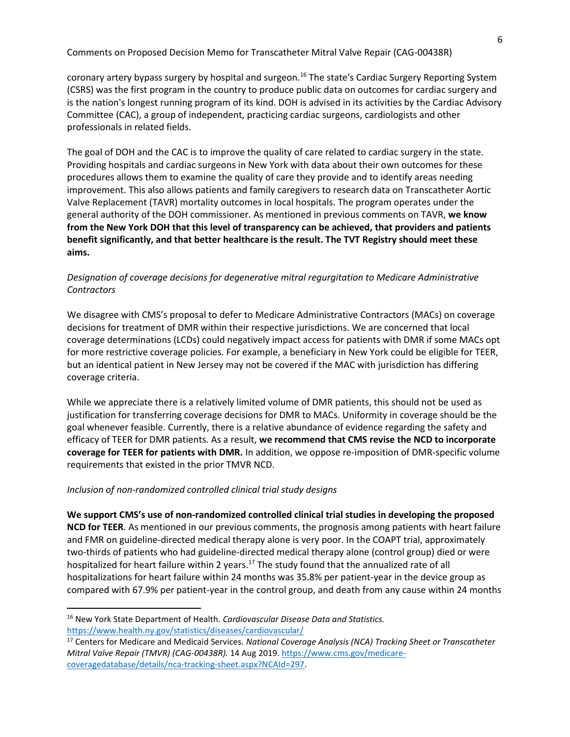coronary artery bypass surgery by hospital and surgeon.<sup>16</sup> The state's Cardiac Surgery Reporting System (CSRS) was the first program in the country to produce public data on outcomes for cardiac surgery and is the nation's longest running program of its kind. DOH is advised in its activities by the Cardiac Advisory Committee (CAC), a group of independent, practicing cardiac surgeons, cardiologists and other professionals in related fields.

The goal of DOH and the CAC is to improve the quality of care related to cardiac surgery in the state. Providing hospitals and cardiac surgeons in New York with data about their own outcomes for these procedures allows them to examine the quality of care they provide and to identify areas needing improvement. This also allows patients and family caregivers to research data on Transcatheter Aortic Valve Replacement (TAVR) mortality outcomes in local hospitals. The program operates under the general authority of the DOH commissioner. As mentioned in previous comments on TAVR, **we know from the New York DOH that this level of transparency can be achieved, that providers and patients benefit significantly, and that better healthcare is the result. The TVT Registry should meet these aims.**

## *Designation of coverage decisions for degenerative mitral regurgitation to Medicare Administrative Contractors*

We disagree with CMS's proposal to defer to Medicare Administrative Contractors (MACs) on coverage decisions for treatment of DMR within their respective jurisdictions. We are concerned that local coverage determinations (LCDs) could negatively impact access for patients with DMR if some MACs opt for more restrictive coverage policies. For example, a beneficiary in New York could be eligible for TEER, but an identical patient in New Jersey may not be covered if the MAC with jurisdiction has differing coverage criteria.

While we appreciate there is a relatively limited volume of DMR patients, this should not be used as justification for transferring coverage decisions for DMR to MACs. Uniformity in coverage should be the goal whenever feasible. Currently, there is a relative abundance of evidence regarding the safety and efficacy of TEER for DMR patients. As a result, **we recommend that CMS revise the NCD to incorporate coverage for TEER for patients with DMR.** In addition, we oppose re-imposition of DMR-specific volume requirements that existed in the prior TMVR NCD.

### *Inclusion of non-randomized controlled clinical trial study designs*

**We support CMS's use of non-randomized controlled clinical trial studies in developing the proposed NCD for TEER**. As mentioned in our previous comments, the prognosis among patients with heart failure and FMR on guideline-directed medical therapy alone is very poor. In the COAPT trial, approximately two-thirds of patients who had guideline-directed medical therapy alone (control group) died or were hospitalized for heart failure within 2 years.<sup>17</sup> The study found that the annualized rate of all hospitalizations for heart failure within 24 months was 35.8% per patient-year in the device group as compared with 67.9% per patient-year in the control group, and death from any cause within 24 months

<sup>16</sup> New York State Department of Health. *Cardiovascular Disease Data and Statistics.* <https://www.health.ny.gov/statistics/diseases/cardiovascular/>

<sup>17</sup> Centers for Medicare and Medicaid Services. *National Coverage Analysis (NCA) Tracking Sheet or Transcatheter Mitral Valve Repair (TMVR) (CAG-00438R).* 14 Aug 2019[. https://www.cms.gov/medicare](https://www.cms.gov/medicare-coveragedatabase/details/nca-tracking-sheet.aspx?NCAId=297)[coveragedatabase/details/nca-tracking-sheet.aspx?NCAId=297.](https://www.cms.gov/medicare-coveragedatabase/details/nca-tracking-sheet.aspx?NCAId=297)